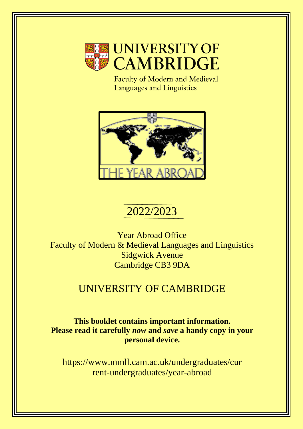

Faculty of Modern and Medieval Languages and Linguistics



# 2022/2023

Year Abroad Office Faculty of Modern & Medieval Languages and Linguistics Sidgwick Avenue Cambridge CB3 9DA

## UNIVERSITY OF CAMBRIDGE

**This booklet contains important information. Please read it carefully** *now* **and** *save* **a handy copy in your personal device.** 

https://www.mmll.cam.ac.uk/undergraduates/cur rent-undergraduates/year-abroad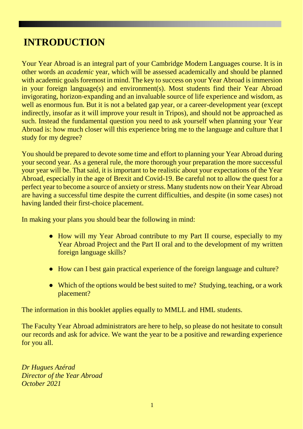## **INTRODUCTION**

Your Year Abroad is an integral part of your Cambridge Modern Languages course. It is in other words an *academic* year, which will be assessed academically and should be planned with academic goals foremost in mind. The key to success on your Year Abroad is immersion in your foreign language(s) and environment(s). Most students find their Year Abroad invigorating, horizon-expanding and an invaluable source of life experience and wisdom, as well as enormous fun. But it is not a belated gap year, or a career-development year (except indirectly, insofar as it will improve your result in Tripos), and should not be approached as such. Instead the fundamental question you need to ask yourself when planning your Year Abroad is: how much closer will this experience bring me to the language and culture that I study for my degree?

You should be prepared to devote some time and effort to planning your Year Abroad during your second year. As a general rule, the more thorough your preparation the more successful your year will be. That said, it is important to be realistic about your expectations of the Year Abroad, especially in the age of Brexit and Covid-19. Be careful not to allow the quest for a perfect year to become a source of anxiety or stress. Many students now on their Year Abroad are having a successful time despite the current difficulties, and despite (in some cases) not having landed their first-choice placement.

In making your plans you should bear the following in mind:

- How will my Year Abroad contribute to my Part II course, especially to my Year Abroad Project and the Part II oral and to the development of my written foreign language skills?
- How can I best gain practical experience of the foreign language and culture?
- Which of the options would be best suited to me? Studying, teaching, or a work placement?

The information in this booklet applies equally to MMLL and HML students.

The Faculty Year Abroad administrators are here to help, so please do not hesitate to consult our records and ask for advice. We want the year to be a positive and rewarding experience for you all.

*Dr Hugues Azérad Director of the Year Abroad October 2021*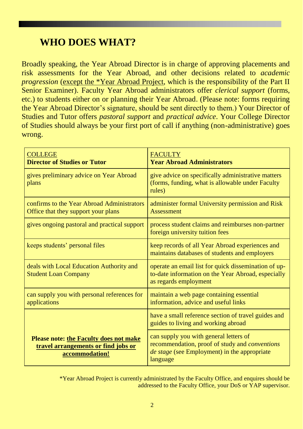## **WHO DOES WHAT?**

Broadly speaking, the Year Abroad Director is in charge of approving placements and risk assessments for the Year Abroad, and other decisions related to *academic progression* (except the \*Year Abroad Project, which is the responsibility of the Part II Senior Examiner). Faculty Year Abroad administrators offer *clerical support* (forms, etc.) to students either on or planning their Year Abroad. (Please note: forms requiring the Year Abroad Director's signature, should be sent directly to them.) Your Director of Studies and Tutor offers *pastoral support* and *practical advice*. Your College Director of Studies should always be your first port of call if anything (non-administrative) goes wrong.

| <b>COLLEGE</b><br><b>Director of Studies or Tutor</b>                                                  | <b>FACULTY</b><br><b>Year Abroad Administrators</b>                                                                                                                |
|--------------------------------------------------------------------------------------------------------|--------------------------------------------------------------------------------------------------------------------------------------------------------------------|
| gives preliminary advice on Year Abroad<br>plans                                                       | give advice on specifically administrative matters<br>(forms, funding, what is allowable under Faculty<br>rules)                                                   |
| confirms to the Year Abroad Administrators<br>Office that they support your plans                      | administer formal University permission and Risk<br><b>Assessment</b>                                                                                              |
| gives ongoing pastoral and practical support                                                           | process student claims and reimburses non-partner<br>foreign university tuition fees                                                                               |
| keeps students' personal files                                                                         | keep records of all Year Abroad experiences and<br>maintains databases of students and employers                                                                   |
| deals with Local Education Authority and<br><b>Student Loan Company</b>                                | operate an email list for quick dissemination of up-<br>to-date information on the Year Abroad, especially<br>as regards employment                                |
| can supply you with personal references for<br>applications                                            | maintain a web page containing essential<br>information, advice and useful links                                                                                   |
|                                                                                                        | have a small reference section of travel guides and<br>guides to living and working abroad                                                                         |
| <b>Please note: the Faculty does not make</b><br>travel arrangements or find jobs or<br>accommodation! | can supply you with general letters of<br>recommendation, proof of study and <i>conventions</i><br><i>de stage</i> (see Employment) in the appropriate<br>language |

\*Year Abroad Project is currently administrated by the Faculty Office, and enquires should be addressed to the Faculty Office, your DoS or YAP supervisor.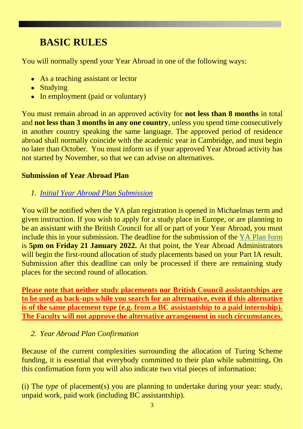## **BASIC RULES**

You will normally spend your Year Abroad in one of the following ways:

- As a teaching assistant or lector
- Studying
- In employment (paid or voluntary)

You must remain abroad in an approved activity for **not less than 8 months** in total and **not less than 3 months in any one country**, unless you spend time consecutively in another country speaking the same language. The approved period of residence abroad shall normally coincide with the academic year in Cambridge, and must begin no later than October. You must inform us if your approved Year Abroad activity has not started by November, so that we can advise on alternatives.

#### **Submission of Year Abroad Plan**

*1. [Initial Year Abroad Plan Submission](https://forms.gle/W5w3qvEkf8oU8dD48)*

You will be notified when the YA plan registration is opened in Michaelmas term and given instruction. If you wish to apply for a study place in Europe, or are planning to be an assistant with the British Council for all or part of your Year Abroad, you must include this in your submission. The deadline for the submission of the [YA Plan form](https://forms.gle/seQ9M5kccEkfDgvX9) is **5pm on Friday 21 January 2022.** At that point, the Year Abroad Administrators will begin the first-round allocation of study placements based on your Part IA result. Submission after this deadline can only be processed if there are remaining study places for the second round of allocation.

**Please note that neither study placements nor British Council assistantships are to be used as back-ups while you search for an alternative, even if this alternative is of the same placement type (e.g. from a BC assistantship to a paid internship). The Faculty will not approve the alternative arrangement in such circumstances.** 

#### *2. Year Abroad Plan Confirmation*

Because of the current complexities surrounding the allocation of Turing Scheme funding, it is essential that everybody committed to their plan while submitting**.** On this confirmation form you will also indicate two vital pieces of information:

(i) The *type* of placement(s) you are planning to undertake during your year: study, unpaid work, paid work (including BC assistantship).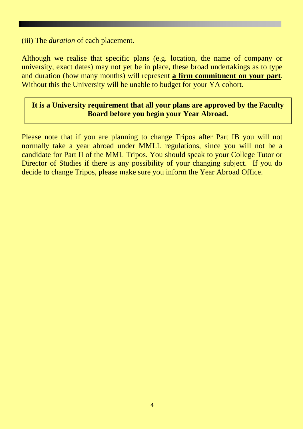(iii) The *duration* of each placement.

Although we realise that specific plans (e.g. location, the name of company or university, exact dates) may not yet be in place, these broad undertakings as to type and duration (how many months) will represent **a firm commitment on your part**. Without this the University will be unable to budget for your YA cohort.

#### **It is a University requirement that all your plans are approved by the Faculty Board before you begin your Year Abroad.**

Please note that if you are planning to change Tripos after Part IB you will not normally take a year abroad under MMLL regulations, since you will not be a candidate for Part II of the MML Tripos. You should speak to your College Tutor or Director of Studies if there is any possibility of your changing subject. If you do decide to change Tripos, please make sure you inform the Year Abroad Office.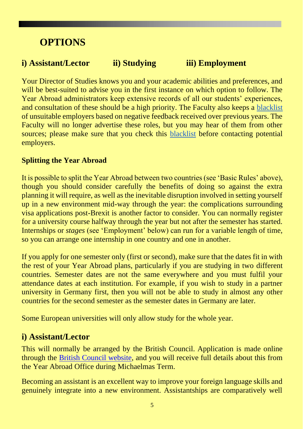## **OPTIONS**

### **i) Assistant/Lector ii) Studying iii) Employment**

Your Director of Studies knows you and your academic abilities and preferences, and will be best-suited to advise you in the first instance on which option to follow. The Year Abroad administrators keep extensive records of all our students' experiences, and consultation of these should be a high priority. The Faculty also keeps a [blacklist](https://www.vle.cam.ac.uk/course/view.php?id=77361§ion=2)  of unsuitable employers based on negative feedback received over previous years. The Faculty will no longer advertise these roles, but you may hear of them from other sources; please make sure that you check this [blacklist](https://www.vle.cam.ac.uk/course/view.php?id=77361§ion=2) before contacting potential employers.

#### **Splitting the Year Abroad**

It is possible to split the Year Abroad between two countries (see 'Basic Rules' above), though you should consider carefully the benefits of doing so against the extra planning it will require, as well as the inevitable disruption involved in setting yourself up in a new environment mid-way through the year: the complications surrounding visa applications post-Brexit is another factor to consider. You can normally register for a university course halfway through the year but not after the semester has started. Internships or *stages* (see 'Employment' below) can run for a variable length of time, so you can arrange one internship in one country and one in another.

If you apply for one semester only (first or second), make sure that the dates fit in with the rest of your Year Abroad plans, particularly if you are studying in two different countries. Semester dates are not the same everywhere and you must fulfil your attendance dates at each institution. For example, if you wish to study in a partner university in Germany first, then you will not be able to study in almost any other countries for the second semester as the semester dates in Germany are later.

Some European universities will only allow study for the whole year.

#### **i) Assistant/Lector**

This will normally be arranged by the British Council. Application is made online through the [British Council website,](https://www.britishcouncil.org/study-work-abroad/outside-uk/english-language-assistants) and you will receive full details about this from the Year Abroad Office during Michaelmas Term.

Becoming an assistant is an excellent way to improve your foreign language skills and genuinely integrate into a new environment. Assistantships are comparatively well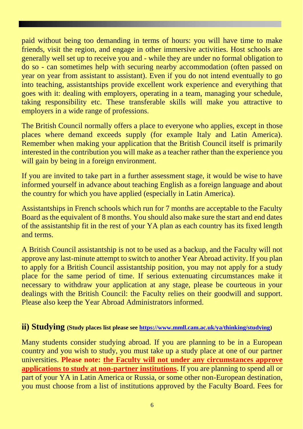paid without being too demanding in terms of hours: you will have time to make friends, visit the region, and engage in other immersive activities. Host schools are generally well set up to receive you and - while they are under no formal obligation to do so - can sometimes help with securing nearby accommodation (often passed on year on year from assistant to assistant). Even if you do not intend eventually to go into teaching, assistantships provide excellent work experience and everything that goes with it: dealing with employers, operating in a team, managing your schedule, taking responsibility etc. These transferable skills will make you attractive to employers in a wide range of professions.

The British Council normally offers a place to everyone who applies, except in those places where demand exceeds supply (for example Italy and Latin America). Remember when making your application that the British Council itself is primarily interested in the contribution you will make as a teacher rather than the experience you will gain by being in a foreign environment.

If you are invited to take part in a further assessment stage, it would be wise to have informed yourself in advance about teaching English as a foreign language and about the country for which you have applied (especially in Latin America).

Assistantships in French schools which run for 7 months are acceptable to the Faculty Board as the equivalent of 8 months. You should also make sure the start and end dates of the assistantship fit in the rest of your YA plan as each country has its fixed length and terms.

A British Council assistantship is not to be used as a backup, and the Faculty will not approve any last-minute attempt to switch to another Year Abroad activity. If you plan to apply for a British Council assistantship position, you may not apply for a study place for the same period of time. If serious extenuating circumstances make it necessary to withdraw your application at any stage, please be courteous in your dealings with the British Council: the Faculty relies on their goodwill and support. Please also keep the Year Abroad Administrators informed.

#### **ii) Studying (Study places list please see [https://www.mmll.cam.ac.uk/ya/thinking/studying\)](https://www.mmll.cam.ac.uk/ya/thinking/studying)**

Many students consider studying abroad. If you are planning to be in a European country and you wish to study, you must take up a study place at one of our partner universities. **Please note: the Faculty will not under any circumstances approve applications to study at non-partner institutions.** If you are planning to spend all or part of your YA in Latin America or Russia, or some other non-European destination, you must choose from a list of institutions approved by the Faculty Board. Fees for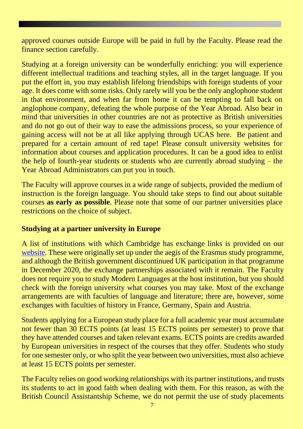approved courses outside Europe will be paid in full by the Faculty. Please read the finance section carefully.

Studying at a foreign university can be wonderfully enriching: you will experience different intellectual traditions and teaching styles, all in the target language. If you put the effort in, you may establish lifelong friendships with foreign students of your age. It does come with some risks. Only rarely will you be the only anglophone student in that environment, and when far from home it can be tempting to fall back on anglophone company, defeating the whole purpose of the Year Abroad. Also bear in mind that universities in other countries are not as protective as British universities and do not go out of their way to ease the admissions process, so your experience of gaining access will not be at all like applying through UCAS here. Be patient and prepared for a certain amount of red tape! Please consult university websites for information about courses and application procedures. It can be a good idea to enlist the help of fourth-year students or students who are currently abroad studying – the Year Abroad Administrators can put you in touch.

The Faculty will approve courses in a wide range of subjects, provided the medium of instruction is the foreign language. You should take steps to find out about suitable courses **as early as possible**. Please note that some of our partner universities place restrictions on the choice of subject.

#### **Studying at a partner university in Europe**

A list of institutions with which Cambridge has exchange links is provided on our [website.](https://www.mmll.cam.ac.uk/ya/thinking/studying) These were originally set up under the aegis of the Erasmus study programme, and although the British government discontinued UK participation in that programme in December 2020, the exchange partnerships associated with it remain. The Faculty does not require you to study Modern Languages at the host institution, but you should check with the foreign university what courses you may take. Most of the exchange arrangements are with faculties of language and literature; there are, however, some exchanges with faculties of history in France, Germany, Spain and Austria.

Students applying for a European study place for a full academic year must accumulate not fewer than 30 ECTS points (at least 15 ECTS points per semester) to prove that they have attended courses and taken relevant exams. ECTS points are credits awarded by European universities in respect of the courses that they offer. Students who study for one semester only, or who split the year between two universities, must also achieve at least 15 ECTS points per semester.

The Faculty relies on good working relationships with its partner institutions, and trusts its students to act in good faith when dealing with them. For this reason, as with the British Council Assistantship Scheme, we do not permit the use of study placements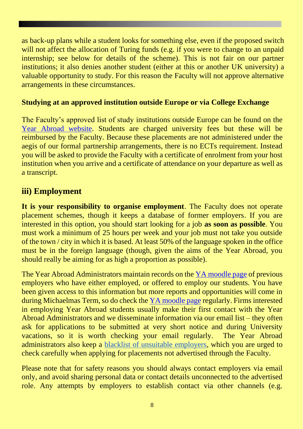as back-up plans while a student looks for something else, even if the proposed switch will not affect the allocation of Turing funds (e.g. if you were to change to an unpaid internship; see below for details of the scheme). This is not fair on our partner institutions; it also denies another student (either at this or another UK university) a valuable opportunity to study. For this reason the Faculty will not approve alternative arrangements in these circumstances.

#### **Studying at an approved institution outside Europe or via College Exchange**

The Faculty's approved list of study institutions outside Europe can be found on the [Year Abroad website.](https://www.mmll.cam.ac.uk/ya/thinking/studying) Students are charged university fees but these will be reimbursed by the Faculty. Because these placements are not administered under the aegis of our formal partnership arrangements, there is no ECTs requirement. Instead you will be asked to provide the Faculty with a certificate of enrolment from your host institution when you arrive and a certificate of attendance on your departure as well as a transcript.

### **iii) Employment**

**It is your responsibility to organise employment**. The Faculty does not operate placement schemes, though it keeps a database of former employers. If you are interested in this option, you should start looking for a job **as soon as possible**. You must work a minimum of 25 hours per week and your job must not take you outside of the town / city in which it is based. At least 50% of the language spoken in the office must be in the foreign language (though, given the aims of the Year Abroad, you should really be aiming for as high a proportion as possible).

The Year Abroad Administrators maintain records on the [YA moodle page](https://www.vle.cam.ac.uk/course/view.php?id=77361§ion=2) of previous employers who have either employed, or offered to employ our students. You have been given access to this information but more reports and opportunities will come in during Michaelmas Term, so do check the [YA moodle page](https://www.vle.cam.ac.uk/course/view.php?id=77361§ion=2) regularly. Firms interested in employing Year Abroad students usually make their first contact with the Year Abroad Administrators and we disseminate information via our email list – they often ask for applications to be submitted at very short notice and during University vacations, so it is worth checking your email regularly. The Year Abroad administrators also keep a [blacklist of unsuitable employers,](https://www.vle.cam.ac.uk/course/view.php?id=77361§ion=2) which you are urged to check carefully when applying for placements not advertised through the Faculty.

Please note that for safety reasons you should always contact employers via email only, and avoid sharing personal data or contact details unconnected to the advertised role. Any attempts by employers to establish contact via other channels (e.g.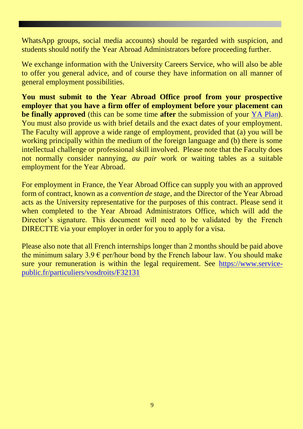WhatsApp groups, social media accounts) should be regarded with suspicion, and students should notify the Year Abroad Administrators before proceeding further.

We exchange information with the University Careers Service, who will also be able to offer you general advice, and of course they have information on all manner of general employment possibilities.

**You must submit to the Year Abroad Office proof from your prospective employer that you have a firm offer of employment before your placement can be finally approved** (this can be some time **after** the submission of your [YA Plan\)](https://forms.gle/W5w3qvEkf8oU8dD48). You must also provide us with brief details and the exact dates of your employment. The Faculty will approve a wide range of employment, provided that (a) you will be working principally within the medium of the foreign language and (b) there is some intellectual challenge or professional skill involved. Please note that the Faculty does not normally consider nannying, *au pair* work or waiting tables as a suitable employment for the Year Abroad.

For employment in France, the Year Abroad Office can supply you with an approved form of contract, known as a *convention de stage*, and the Director of the Year Abroad acts as the University representative for the purposes of this contract. Please send it when completed to the Year Abroad Administrators Office, which will add the Director's signature. This document will need to be validated by the French DIRECTTE via your employer in order for you to apply for a visa.

Please also note that all French internships longer than 2 months should be paid above the minimum salary  $3.9 \text{ }\epsilon$  per/hour bond by the French labour law. You should make sure your remuneration is within the legal requirement. See [https://www.service](https://www.service-public.fr/particuliers/vosdroits/F32131)[public.fr/particuliers/vosdroits/F32131](https://www.service-public.fr/particuliers/vosdroits/F32131)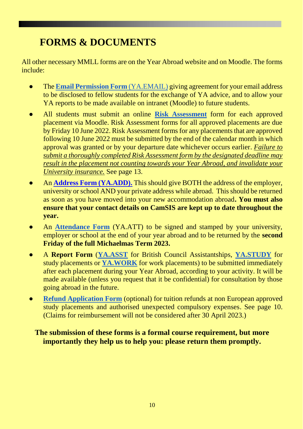# **FORMS & DOCUMENTS**

All other necessary MMLL forms are on the Year Abroad website and on Moodle. The forms include:

- The **[Email Permission Form](https://forms.gle/qu9uuN2FmCXdwEXS7)** [\(YA.EMAIL\)](https://forms.gle/qu9uuN2FmCXdwEXS7) giving agreement for your email address to be disclosed to fellow students for the exchange of YA advice, and to allow your YA reports to be made available on intranet (Moodle) to future students.
- All students must submit an online **[Risk](https://www.vle.cam.ac.uk/course/view.php?id=77361§ionid=3661002) [Assessment](https://www.vle.cam.ac.uk/course/view.php?id=77361§ionid=3661002)** form for each approved placement via Moodle. Risk Assessment forms for all approved placements are due by Friday 10 June 2022. Risk Assessment forms for any placements that are approved following 10 June 2022 must be submitted by the end of the calendar month in which approval was granted or by your departure date whichever occurs earlier. *Failure to submit a thoroughly completed Risk Assessment form by the designated deadline may result in the placement not counting towards your Year Abroad, and invalidate your University insurance.* See page 13.
- An **[Address Form \(YA.ADD\).](https://forms.gle/YqgpJuaPBpkVPk5n7)** This should give BOTH the address of the employer, university or school AND your private address while abroad. This should be returned as soon as you have moved into your new accommodation abroad**. You must also ensure that your contact details on CamSIS are kept up to date throughout the year.**
- An **[Attendance Form](https://www.mmll.cam.ac.uk/sites/www.mmll.cam.ac.uk/files/certificate_of_arrival_work.doc)** (YA.ATT) to be signed and stamped by your university, employer or school at the end of your year abroad and to be returned by the **second Friday of the full Michaelmas Term 2023.**
- A **Report Form** (**[YA.ASST](https://forms.gle/KPtFPPDuyStW4xX17)** for British Council Assistantships, **[YA.STUDY](https://forms.gle/8GE6wgJezrhLE9zy7)** for study placements or **[YA.WORK](https://forms.gle/aLgb3y96hmvLMHeP8)** for work placements) to be submitted immediately after each placement during your Year Abroad, according to your activity. It will be made available (unless you request that it be confidential) for consultation by those going abroad in the future.
- **[Refund Application Form](https://www.mmll.cam.ac.uk/sites/www.mmll.cam.ac.uk/files/ya.fee22-23.docx)** (optional) for tuition refunds at non European approved study placements and authorised unexpected compulsory expenses. See page 10. (Claims for reimbursement will not be considered after 30 April 2023.)

#### **The submission of these forms is a formal course requirement, but more importantly they help us to help you: please return them promptly.**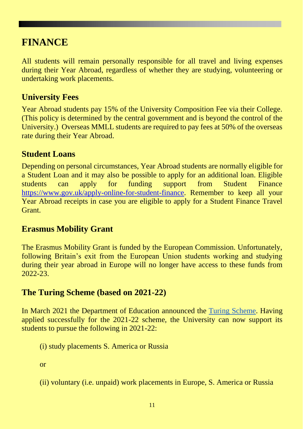## **FINANCE**

All students will remain personally responsible for all travel and living expenses during their Year Abroad, regardless of whether they are studying, volunteering or undertaking work placements.

### **University Fees**

Year Abroad students pay 15% of the University Composition Fee via their College. (This policy is determined by the central government and is beyond the control of the University.) Overseas MMLL students are required to pay fees at 50% of the overseas rate during their Year Abroad.

#### **Student Loans**

Depending on personal circumstances, Year Abroad students are normally eligible for a Student Loan and it may also be possible to apply for an additional loan. Eligible students can apply for funding support from Student Finance [https://www.gov.uk/apply-online-for-student-finance.](https://www.gov.uk/apply-online-for-student-finance) Remember to keep all your Year Abroad receipts in case you are eligible to apply for a Student Finance Travel Grant.

### **Erasmus Mobility Grant**

The Erasmus Mobility Grant is funded by the European Commission. Unfortunately, following Britain's exit from the European Union students working and studying during their year abroad in Europe will no longer have access to these funds from 2022-23.

### **The Turing Scheme (based on 2021-22)**

In March 2021 the Department of Education announced the [Turing Scheme.](https://www.turing-scheme.org.uk/) Having applied successfully for the 2021-22 scheme, the University can now support its students to pursue the following in 2021-22:

- (i) study placements S. America or Russia
- or
- (ii) voluntary (i.e. unpaid) work placements in Europe, S. America or Russia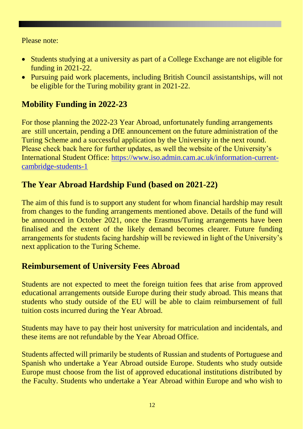Please note:

- Students studying at a university as part of a College Exchange are not eligible for funding in 2021-22.
- Pursuing paid work placements, including British Council assistantships, will not be eligible for the Turing mobility grant in 2021-22.

### **Mobility Funding in 2022-23**

For those planning the 2022-23 Year Abroad, unfortunately funding arrangements are still uncertain, pending a DfE announcement on the future administration of the Turing Scheme and a successful application by the University in the next round. Please check back here for further updates, as well the website of the University's International Student Office: [https://www.iso.admin.cam.ac.uk/information-current](https://www.iso.admin.cam.ac.uk/information-current-cambridge-students-1)[cambridge-students-1](https://www.iso.admin.cam.ac.uk/information-current-cambridge-students-1)

### **The Year Abroad Hardship Fund (based on 2021-22)**

The aim of this fund is to support any student for whom financial hardship may result from changes to the funding arrangements mentioned above. Details of the fund will be announced in October 2021, once the Erasmus/Turing arrangements have been finalised and the extent of the likely demand becomes clearer. Future funding arrangements for students facing hardship will be reviewed in light of the University's next application to the Turing Scheme.

### **Reimbursement of University Fees Abroad**

Students are not expected to meet the foreign tuition fees that arise from approved educational arrangements outside Europe during their study abroad. This means that students who study outside of the EU will be able to claim reimbursement of full tuition costs incurred during the Year Abroad.

Students may have to pay their host university for matriculation and incidentals, and these items are not refundable by the Year Abroad Office.

Students affected will primarily be students of Russian and students of Portuguese and Spanish who undertake a Year Abroad outside Europe. Students who study outside Europe must choose from the list of approved educational institutions distributed by the Faculty. Students who undertake a Year Abroad within Europe and who wish to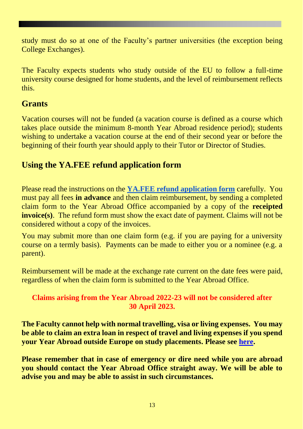study must do so at one of the Faculty's partner universities (the exception being College Exchanges).

The Faculty expects students who study outside of the EU to follow a full-time university course designed for home students, and the level of reimbursement reflects this.

### **Grants**

Vacation courses will not be funded (a vacation course is defined as a course which takes place outside the minimum 8-month Year Abroad residence period); students wishing to undertake a vacation course at the end of their second year or before the beginning of their fourth year should apply to their Tutor or Director of Studies.

### **Using the YA.FEE refund application form**

Please read the instructions on the **[YA.FEE refund application form](https://www.mmll.cam.ac.uk/sites/www.mmll.cam.ac.uk/files/ya.fee22-23.docx)** carefully. You must pay all fees **in advance** and then claim reimbursement, by sending a completed claim form to the Year Abroad Office accompanied by a copy of the **receipted invoice(s)**. The refund form must show the exact date of payment. Claims will not be considered without a copy of the invoices.

You may submit more than one claim form (e.g. if you are paying for a university course on a termly basis). Payments can be made to either you or a nominee (e.g. a parent).

Reimbursement will be made at the exchange rate current on the date fees were paid, regardless of when the claim form is submitted to the Year Abroad Office.

#### **Claims arising from the Year Abroad 2022-23 will not be considered after 30 April 2023.**

**The Faculty cannot help with normal travelling, visa or living expenses. You may be able to claim an extra loan in respect of travel and living expenses if you spend your Year Abroad outside Europe on study placements. Please see [here.](https://www.mmll.cam.ac.uk/ya/thinking/studying)**

**Please remember that in case of emergency or dire need while you are abroad you should contact the Year Abroad Office straight away. We will be able to advise you and may be able to assist in such circumstances.**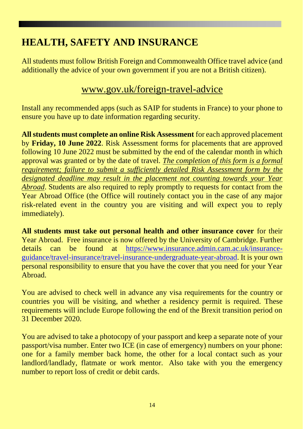# **HEALTH, SAFETY AND INSURANCE**

All students must follow British Foreign and Commonwealth Office travel advice (and additionally the advice of your own government if you are not a British citizen).

## [www.gov.uk/foreign-travel-advice](http://www.gov.uk/foreign-travel-advice)

Install any recommended apps (such as SAIP for students in France) to your phone to ensure you have up to date information regarding security.

**All students must complete an online Risk Assessment** for each approved placement by **Friday, 10 June 2022**. Risk Assessment forms for placements that are approved following 10 June 2022 must be submitted by the end of the calendar month in which approval was granted or by the date of travel. *The completion of this form is a formal requirement; failure to submit a sufficiently detailed Risk Assessment form by the designated deadline may result in the placement not counting towards your Year Abroad*. Students are also required to reply promptly to requests for contact from the Year Abroad Office (the Office will routinely contact you in the case of any major risk-related event in the country you are visiting and will expect you to reply immediately).

**All students must take out personal health and other insurance cover** for their Year Abroad. Free insurance is now offered by the University of Cambridge. Further details can be found at [https://www.insurance.admin.cam.ac.uk/insurance](https://www.insurance.admin.cam.ac.uk/insurance-guidance/travel-insurance/travel-insurance-undergraduate-year-abroad)[guidance/travel-insurance/travel-insurance-undergraduate-year-abroad.](https://www.insurance.admin.cam.ac.uk/insurance-guidance/travel-insurance/travel-insurance-undergraduate-year-abroad) It is your own personal responsibility to ensure that you have the cover that you need for your Year Abroad.

You are advised to check well in advance any visa requirements for the country or countries you will be visiting, and whether a residency permit is required. These requirements will include Europe following the end of the Brexit transition period on 31 December 2020.

You are advised to take a photocopy of your passport and keep a separate note of your passport/visa number. Enter two ICE (in case of emergency) numbers on your phone: one for a family member back home, the other for a local contact such as your landlord/landlady, flatmate or work mentor. Also take with you the emergency number to report loss of credit or debit cards.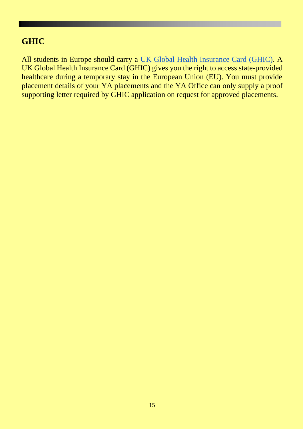### **GHIC**

All students in Europe should carry a [UK Global Health Insurance Card \(GHIC\).](https://www.nhs.uk/using-the-nhs/healthcare-abroad/apply-for-a-free-uk-global-health-insurance-card-ghic/) A UK Global Health Insurance Card (GHIC) gives you the right to access state-provided healthcare during a temporary stay in the European Union (EU). You must provide placement details of your YA placements and the YA Office can only supply a proof supporting letter required by GHIC application on request for approved placements.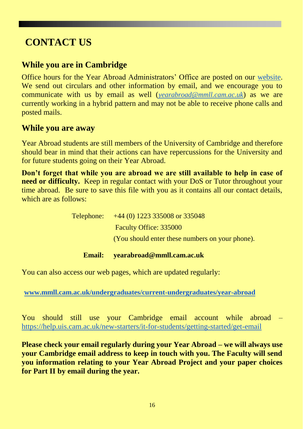## **CONTACT US**

### **While you are in Cambridge**

Office hours for the Year Abroad Administrators' Office are posted on our [website.](https://www.mmll.cam.ac.uk/undergraduates/current-undergraduates/year-abroad/contact) We send out circulars and other information by email, and we encourage you to communicate with us by email as well (*[yearabroad@mmll.cam.ac.uk](mailto:yearabroad@mmll.cam.ac.uk)*) as we are currently working in a hybrid pattern and may not be able to receive phone calls and posted mails.

#### **While you are away**

Year Abroad students are still members of the University of Cambridge and therefore should bear in mind that their actions can have repercussions for the University and for future students going on their Year Abroad.

**Don't forget that while you are abroad we are still available to help in case of need or difficulty.** Keep in regular contact with your DoS or Tutor throughout your time abroad. Be sure to save this file with you as it contains all our contact details, which are as follows:

| <b>Email:</b> | yearabroad@mmll.cam.ac.uk                       |
|---------------|-------------------------------------------------|
|               | (You should enter these numbers on your phone). |
|               | <b>Faculty Office: 335000</b>                   |
|               | Telephone: $+44(0)$ 1223 335008 or 335048       |

You can also access our web pages, which are updated regularly:

**[www.mmll.cam.ac.uk/undergraduates/current-undergraduates/year-abroad](http://www.mmll.cam.ac.uk/undergraduates/current-undergraduates/year-abroad)**

You should still use your Cambridge email account while abroad – <https://help.uis.cam.ac.uk/new-starters/it-for-students/getting-started/get-email>

**Please check your email regularly during your Year Abroad – we will always use your Cambridge email address to keep in touch with you. The Faculty will send you information relating to your Year Abroad Project and your paper choices for Part II by email during the year.**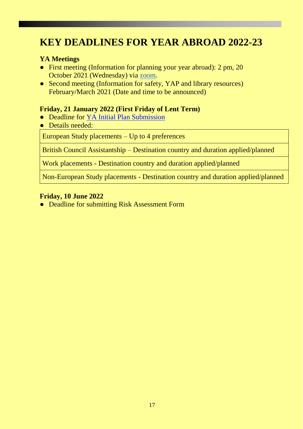## **KEY DEADLINES FOR YEAR ABROAD 2022-23**

#### **YA Meetings**

- First meeting (Information for planning your year abroad): 2 pm, 20 October 2021 (Wednesday) via [zoom.](https://cam-ac-uk.zoom.us/j/91765397110?pwd=YUlFN1JacFNMM0hZakQrRkxFOEdtQT09)
- Second meeting (Information for safety, YAP and library resources) February/March 2021 (Date and time to be announced)

#### **Friday, 21 January 2022 (First Friday of Lent Term)**

- Deadline for [YA Initial Plan Submission](https://forms.gle/W5w3qvEkf8oU8dD48)
- Details needed:

European Study placements – Up to 4 preferences

British Council Assistantship – Destination country and duration applied/planned

Work placements - Destination country and duration applied/planned

Non-European Study placements - Destination country and duration applied/planned

#### **Friday, 10 June 2022**

● Deadline for submitting Risk Assessment Form